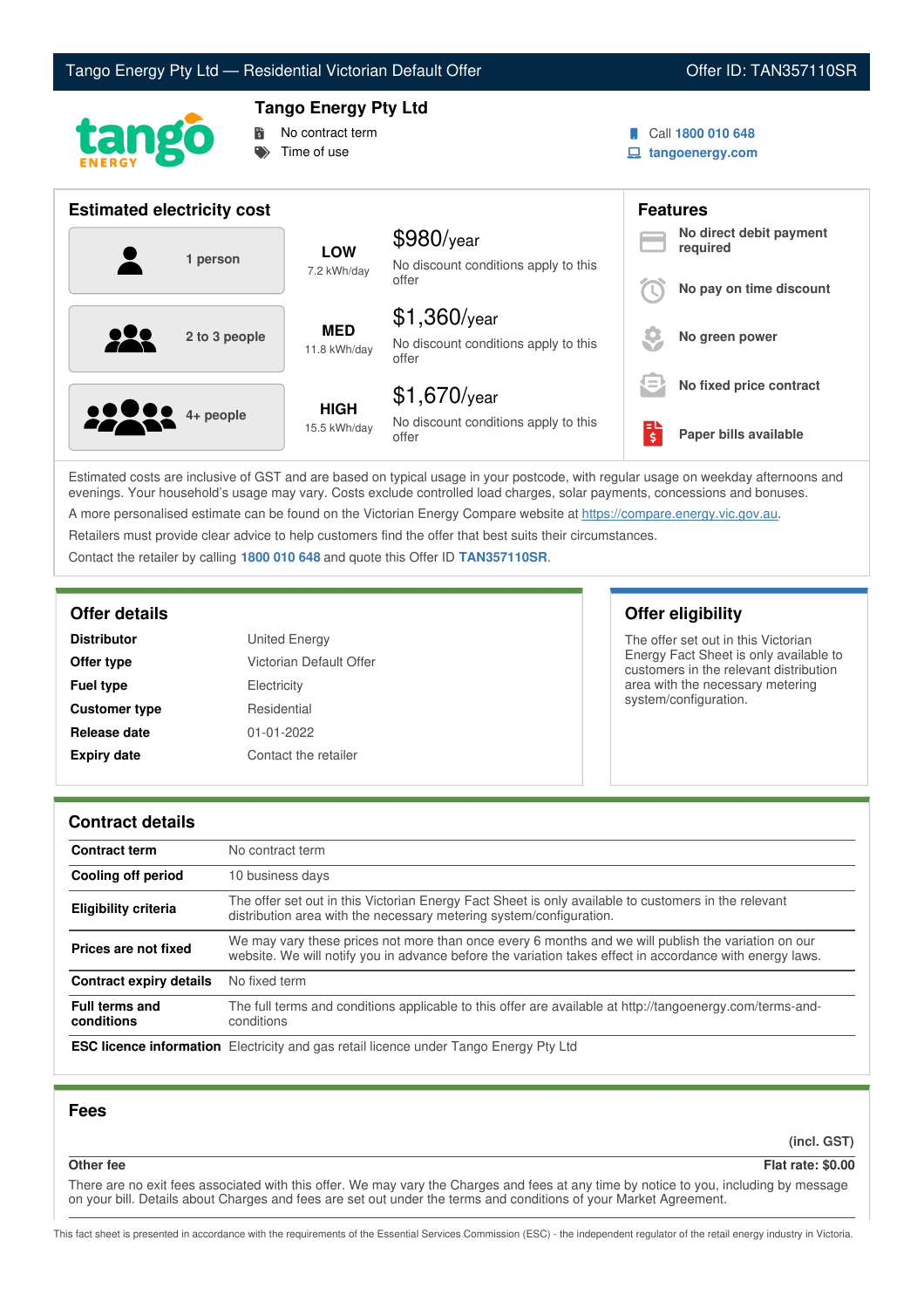



# **Tango Energy Pty Ltd**

No contract term  $\blacktriangleright$  Time of use

Call **1800 010 648**

**tangoenergy.com**

| <b>Estimated electricity cost</b>        | <b>Features</b>             |                                                                 |     |                                     |
|------------------------------------------|-----------------------------|-----------------------------------------------------------------|-----|-------------------------------------|
| 1 person                                 | <b>LOW</b><br>7.2 kWh/day   | $$980$ /year<br>No discount conditions apply to this            |     | No direct debit payment<br>required |
|                                          |                             | offer                                                           |     | No pay on time discount             |
| <u>929</u><br>2 to 3 people              | <b>MED</b><br>11.8 kWh/day  | $$1,360$ /year<br>No discount conditions apply to this<br>offer |     | No green power                      |
|                                          |                             | $$1,670$ /year                                                  | $=$ | No fixed price contract             |
| $\bullet\bullet\bullet\bullet$ 4+ people | <b>HIGH</b><br>15.5 kWh/day | No discount conditions apply to this<br>offer                   | \$  | Paper bills available               |

Estimated costs are inclusive of GST and are based on typical usage in your postcode, with regular usage on weekday afternoons and evenings. Your household's usage may vary. Costs exclude controlled load charges, solar payments, concessions and bonuses. A more personalised estimate can be found on the Victorian Energy Compare website at <https://compare.energy.vic.gov.au>.

Retailers must provide clear advice to help customers find the offer that best suits their circumstances.

Contact the retailer by calling **1800 010 648** and quote this Offer ID **TAN357110SR**.

| <b>Distributor</b>   | United Energy           |
|----------------------|-------------------------|
| Offer type           | Victorian Default Offer |
| <b>Fuel type</b>     | Electricity             |
| <b>Customer type</b> | Residential             |
| Release date         | $01 - 01 - 2022$        |
| <b>Expiry date</b>   | Contact the retailer    |

## **Offer details Offer eligibility**

The offer set out in this Victorian Energy Fact Sheet is only available to customers in the relevant distribution area with the necessary metering system/configuration.

### **Contract details**

| <b>Contract term</b>                | No contract term                                                                                                                                                                                                |  |
|-------------------------------------|-----------------------------------------------------------------------------------------------------------------------------------------------------------------------------------------------------------------|--|
| Cooling off period                  | 10 business days                                                                                                                                                                                                |  |
| <b>Eligibility criteria</b>         | The offer set out in this Victorian Energy Fact Sheet is only available to customers in the relevant<br>distribution area with the necessary metering system/configuration.                                     |  |
| Prices are not fixed                | We may vary these prices not more than once every 6 months and we will publish the variation on our<br>website. We will notify you in advance before the variation takes effect in accordance with energy laws. |  |
| Contract expiry details             | No fixed term                                                                                                                                                                                                   |  |
| <b>Full terms and</b><br>conditions | The full terms and conditions applicable to this offer are available at http://tangoenergy.com/terms-and-<br>conditions                                                                                         |  |
|                                     | <b>ESC licence information</b> Electricity and gas retail licence under Tango Energy Pty Ltd                                                                                                                    |  |

### **Fees**

**(incl. GST)**

#### **Other fee Flat rate: \$0.00**

There are no exit fees associated with this offer. We may vary the Charges and fees at any time by notice to you, including by message on your bill. Details about Charges and fees are set out under the terms and conditions of your Market Agreement.

This fact sheet is presented in accordance with the requirements of the Essential Services Commission (ESC) - the independent regulator of the retail energy industry in Victoria.